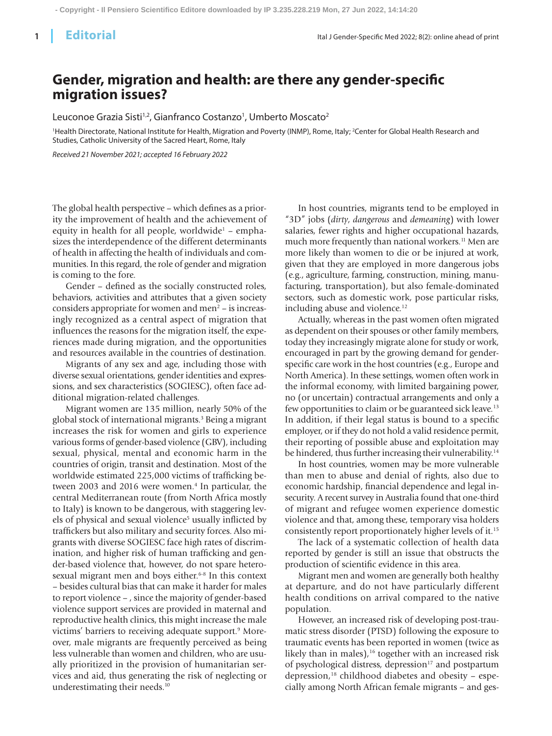## **Gender, migration and health: are there any gender-specific migration issues?**

Leuconoe Grazia Sisti<sup>1,2</sup>, Gianfranco Costanzo<sup>1</sup>, Umberto Moscato<sup>2</sup>

'Health Directorate, National Institute for Health, Migration and Poverty (INMP), Rome, Italy; <sup>2</sup>Center for Global Health Research and Studies, Catholic University of the Sacred Heart, Rome, Italy

*Received 21 November 2021; accepted 16 February 2022*

The global health perspective – which defines as a priority the improvement of health and the achievement of equity in health for all people, worldwide<sup>1</sup> – emphasizes the interdependence of the different determinants of health in affecting the health of individuals and communities. In this regard, the role of gender and migration is coming to the fore.

Gender – defined as the socially constructed roles, behaviors, activities and attributes that a given society considers appropriate for women and men<sup>2</sup> – is increasingly recognized as a central aspect of migration that influences the reasons for the migration itself, the experiences made during migration, and the opportunities and resources available in the countries of destination.

Migrants of any sex and age, including those with diverse sexual orientations, gender identities and expressions, and sex characteristics (SOGIESC), often face additional migration-related challenges.

Migrant women are 135 million, nearly 50% of the global stock of international migrants.3 Being a migrant increases the risk for women and girls to experience various forms of gender-based violence (GBV), including sexual, physical, mental and economic harm in the countries of origin, transit and destination. Most of the worldwide estimated 225,000 victims of trafficking between 2003 and 2016 were women.<sup>4</sup> In particular, the central Mediterranean route (from North Africa mostly to Italy) is known to be dangerous, with staggering levels of physical and sexual violence<sup>5</sup> usually inflicted by traffickers but also military and security forces. Also migrants with diverse SOGIESC face high rates of discrimination, and higher risk of human trafficking and gender-based violence that, however, do not spare heterosexual migrant men and boys either.<sup>6-8</sup> In this context – besides cultural bias that can make it harder for males to report violence – , since the majority of gender-based violence support services are provided in maternal and reproductive health clinics, this might increase the male victims' barriers to receiving adequate support.<sup>9</sup> Moreover, male migrants are frequently perceived as being less vulnerable than women and children, who are usually prioritized in the provision of humanitarian services and aid, thus generating the risk of neglecting or underestimating their needs.<sup>10</sup>

In host countries, migrants tend to be employed in "3D" jobs (*dirty*, *dangerous* and *demeaning*) with lower salaries, fewer rights and higher occupational hazards, much more frequently than national workers.<sup>11</sup> Men are more likely than women to die or be injured at work, given that they are employed in more dangerous jobs (e.g., agriculture, farming, construction, mining, manufacturing, transportation), but also female-dominated sectors, such as domestic work, pose particular risks, including abuse and violence.<sup>12</sup>

Actually, whereas in the past women often migrated as dependent on their spouses or other family members, today they increasingly migrate alone for study or work, encouraged in part by the growing demand for genderspecific care work in the host countries (e.g., Europe and North America). In these settings, women often work in the informal economy, with limited bargaining power, no (or uncertain) contractual arrangements and only a few opportunities to claim or be guaranteed sick leave.<sup>13</sup> In addition, if their legal status is bound to a specific employer, or if they do not hold a valid residence permit, their reporting of possible abuse and exploitation may be hindered, thus further increasing their vulnerability.<sup>14</sup>

In host countries, women may be more vulnerable than men to abuse and denial of rights, also due to economic hardship, financial dependence and legal insecurity. A recent survey in Australia found that one-third of migrant and refugee women experience domestic violence and that, among these, temporary visa holders consistently report proportionately higher levels of it.15

The lack of a systematic collection of health data reported by gender is still an issue that obstructs the production of scientific evidence in this area.

Migrant men and women are generally both healthy at departure, and do not have particularly different health conditions on arrival compared to the native population.

However, an increased risk of developing post-traumatic stress disorder (PTSD) following the exposure to traumatic events has been reported in women (twice as likely than in males), $16$  together with an increased risk of psychological distress, depression<sup>17</sup> and postpartum depression,<sup>18</sup> childhood diabetes and obesity – especially among North African female migrants – and ges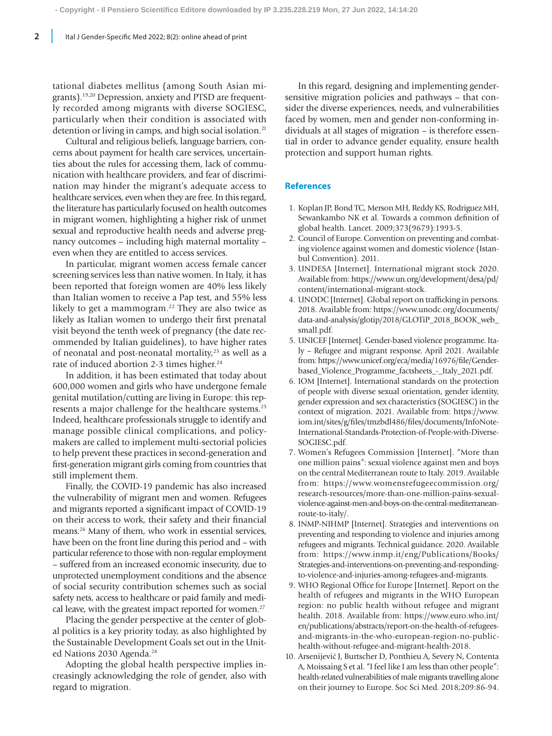tational diabetes mellitus (among South Asian migrants).19,20 Depression, anxiety and PTSD are frequently recorded among migrants with diverse SOGIESC, particularly when their condition is associated with detention or living in camps, and high social isolation.<sup>21</sup>

Cultural and religious beliefs, language barriers, concerns about payment for health care services, uncertainties about the rules for accessing them, lack of communication with healthcare providers, and fear of discrimination may hinder the migrant's adequate access to healthcare services, even when they are free. In this regard, the literature has particularly focused on health outcomes in migrant women, highlighting a higher risk of unmet sexual and reproductive health needs and adverse pregnancy outcomes – including high maternal mortality – even when they are entitled to access services.

In particular, migrant women access female cancer screening services less than native women. In Italy, it has been reported that foreign women are 40% less likely than Italian women to receive a Pap test, and 55% less likely to get a mammogram.<sup>22</sup> They are also twice as likely as Italian women to undergo their first prenatal visit beyond the tenth week of pregnancy (the date recommended by Italian guidelines), to have higher rates of neonatal and post-neonatal mortality,<sup>23</sup> as well as a rate of induced abortion 2-3 times higher.<sup>24</sup>

In addition, it has been estimated that today about 600,000 women and girls who have undergone female genital mutilation/cutting are living in Europe: this represents a major challenge for the healthcare systems.25 Indeed, healthcare professionals struggle to identify and manage possible clinical complications, and policymakers are called to implement multi-sectorial policies to help prevent these practices in second-generation and first-generation migrant girls coming from countries that still implement them.

Finally, the COVID-19 pandemic has also increased the vulnerability of migrant men and women. Refugees and migrants reported a significant impact of COVID-19 on their access to work, their safety and their financial means.26 Many of them, who work in essential services, have been on the front line during this period and – with particular reference to those with non-regular employment – suffered from an increased economic insecurity, due to unprotected unemployment conditions and the absence of social security contribution schemes such as social safety nets, access to healthcare or paid family and medical leave, with the greatest impact reported for women.<sup>27</sup>

Placing the gender perspective at the center of global politics is a key priority today, as also highlighted by the Sustainable Development Goals set out in the United Nations 2030 Agenda.<sup>28</sup>

Adopting the global health perspective implies increasingly acknowledging the role of gender, also with regard to migration.

In this regard, designing and implementing gendersensitive migration policies and pathways – that consider the diverse experiences, needs, and vulnerabilities faced by women, men and gender non-conforming individuals at all stages of migration – is therefore essential in order to advance gender equality, ensure health protection and support human rights.

## **References**

- 1. Koplan JP, Bond TC, Merson MH, Reddy KS, Rodriguez MH, Sewankambo NK et al. Towards a common definition of global health. Lancet. 2009;373(9679):1993-5.
- 2. Council of Europe. Convention on preventing and combating violence against women and domestic violence (Istanbul Convention). 2011.
- 3. UNDESA [Internet]. International migrant stock 2020. Available from: https://www.un.org/development/desa/pd/ content/international-migrant-stock.
- 4. UNODC [Internet]. Global report on trafficking in persons. 2018. Available from: https://www.unodc.org/documents/ data-and-analysis/glotip/2018/GLOTiP\_2018\_BOOK\_web\_ small.pdf.
- 5. UNICEF [Internet]. Gender-based violence programme. Italy – Refugee and migrant response. April 2021. Available from: https://www.unicef.org/eca/media/16976/file/Genderbased\_Violence\_Programme\_factsheets\_-\_Italy\_2021.pdf.
- 6. IOM [Internet]. International standards on the protection of people with diverse sexual orientation, gender identity, gender expression and sex characteristics (SOGIESC) in the context of migration. 2021. Available from: https://www. iom.int/sites/g/files/tmzbdl486/files/documents/InfoNote-International-Standards-Protection-of-People-with-Diverse-SOGIESC.pdf.
- 7. Women's Refugees Commission [Internet]. "More than one million pains": sexual violence against men and boys on the central Mediterranean route to Italy. 2019. Available from: https://www.womensrefugeecommission.org/ research-resources/more-than-one-million-pains-sexualviolence-against-men-and-boys-on-the-central-mediterraneanroute-to-italy/.
- 8. INMP-NIHMP [Internet]. Strategies and interventions on preventing and responding to violence and injuries among refugees and migrants. Technical guidance. 2020. Available from: https://www.inmp.it/eng/Publications/Books/ Strategies-and-interventions-on-preventing-and-respondingto-violence-and-injuries-among-refugees-and-migrants.
- 9. WHO Regional Office for Europe [Internet]. Report on the health of refugees and migrants in the WHO European region: no public health without refugee and migrant health. 2018. Available from: https://www.euro.who.int/ en/publications/abstracts/report-on-the-health-of-refugeesand-migrants-in-the-who-european-region-no-publichealth-without-refugee-and-migrant-health-2018.
- 10. Arsenijević J, Burtscher D, Ponthieu A, Severy N, Contenta A, Moissaing S et al. "I feel like I am less than other people": health-related vulnerabilities of male migrants travelling alone on their journey to Europe. Soc Sci Med. 2018;209:86-94.